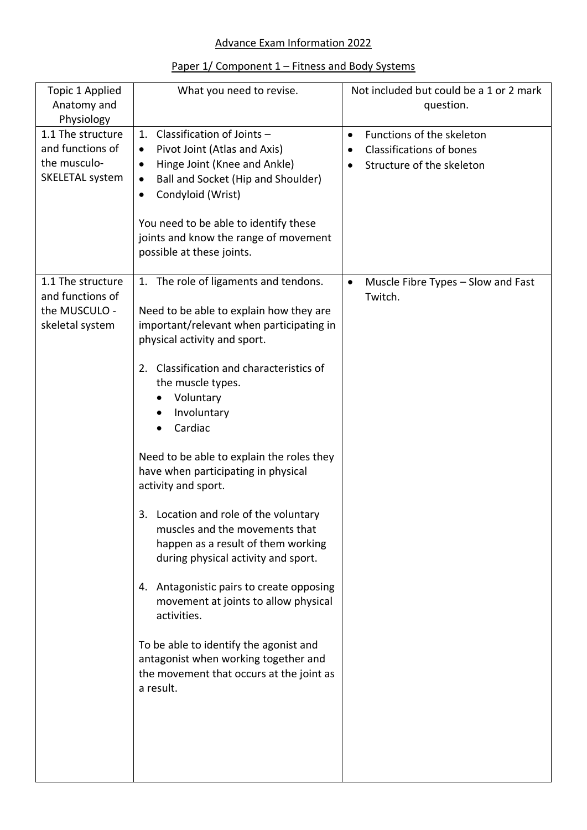## Advance Exam Information 2022

## Paper 1/ Component 1 – Fitness and Body Systems

| Topic 1 Applied<br>Anatomy and<br>Physiology                              | What you need to revise.                                                                                                                                                                                                                                                                                                                                                                                                                                                                                                                                                                                                                                                                                                                                                                    | Not included but could be a 1 or 2 mark<br>question.                                                                             |
|---------------------------------------------------------------------------|---------------------------------------------------------------------------------------------------------------------------------------------------------------------------------------------------------------------------------------------------------------------------------------------------------------------------------------------------------------------------------------------------------------------------------------------------------------------------------------------------------------------------------------------------------------------------------------------------------------------------------------------------------------------------------------------------------------------------------------------------------------------------------------------|----------------------------------------------------------------------------------------------------------------------------------|
| 1.1 The structure<br>and functions of<br>the musculo-<br>SKELETAL system  | Classification of Joints -<br>1.<br>Pivot Joint (Atlas and Axis)<br>$\bullet$<br>Hinge Joint (Knee and Ankle)<br>$\bullet$<br>Ball and Socket (Hip and Shoulder)<br>٠<br>Condyloid (Wrist)<br>٠<br>You need to be able to identify these<br>joints and know the range of movement<br>possible at these joints.                                                                                                                                                                                                                                                                                                                                                                                                                                                                              | Functions of the skeleton<br>$\bullet$<br><b>Classifications of bones</b><br>$\bullet$<br>Structure of the skeleton<br>$\bullet$ |
| 1.1 The structure<br>and functions of<br>the MUSCULO -<br>skeletal system | 1. The role of ligaments and tendons.<br>Need to be able to explain how they are<br>important/relevant when participating in<br>physical activity and sport.<br>Classification and characteristics of<br>2.<br>the muscle types.<br>Voluntary<br>Involuntary<br>Cardiac<br>Need to be able to explain the roles they<br>have when participating in physical<br>activity and sport.<br>Location and role of the voluntary<br>3.<br>muscles and the movements that<br>happen as a result of them working<br>during physical activity and sport.<br>4. Antagonistic pairs to create opposing<br>movement at joints to allow physical<br>activities.<br>To be able to identify the agonist and<br>antagonist when working together and<br>the movement that occurs at the joint as<br>a result. | Muscle Fibre Types - Slow and Fast<br>$\bullet$<br>Twitch.                                                                       |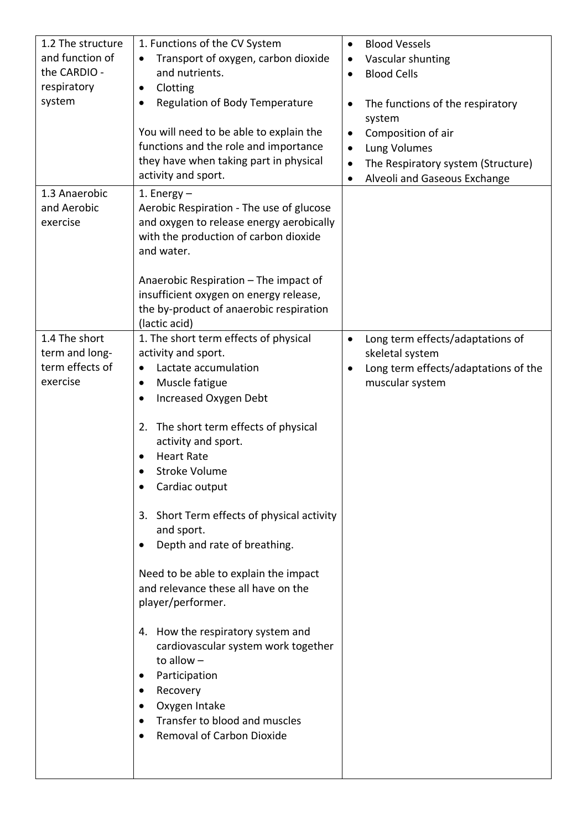| 1.2 The structure | 1. Functions of the CV System               | <b>Blood Vessels</b><br>$\bullet$                       |
|-------------------|---------------------------------------------|---------------------------------------------------------|
| and function of   | Transport of oxygen, carbon dioxide         | Vascular shunting<br>٠                                  |
| the CARDIO -      | and nutrients.                              | <b>Blood Cells</b><br>$\bullet$                         |
| respiratory       | Clotting<br>$\bullet$                       |                                                         |
| system            | Regulation of Body Temperature<br>$\bullet$ | The functions of the respiratory<br>$\bullet$<br>system |
|                   | You will need to be able to explain the     | Composition of air<br>$\bullet$                         |
|                   | functions and the role and importance       | Lung Volumes<br>$\bullet$                               |
|                   | they have when taking part in physical      | The Respiratory system (Structure)<br>$\bullet$         |
|                   | activity and sport.                         | Alveoli and Gaseous Exchange<br>$\bullet$               |
| 1.3 Anaerobic     | 1. Energy $-$                               |                                                         |
| and Aerobic       | Aerobic Respiration - The use of glucose    |                                                         |
| exercise          | and oxygen to release energy aerobically    |                                                         |
|                   | with the production of carbon dioxide       |                                                         |
|                   | and water.                                  |                                                         |
|                   |                                             |                                                         |
|                   | Anaerobic Respiration – The impact of       |                                                         |
|                   | insufficient oxygen on energy release,      |                                                         |
|                   | the by-product of anaerobic respiration     |                                                         |
|                   | (lactic acid)                               |                                                         |
| 1.4 The short     | 1. The short term effects of physical       | Long term effects/adaptations of<br>$\bullet$           |
| term and long-    | activity and sport.                         | skeletal system                                         |
| term effects of   | Lactate accumulation<br>٠                   | Long term effects/adaptations of the                    |
| exercise          | Muscle fatigue                              | muscular system                                         |
|                   | Increased Oxygen Debt                       |                                                         |
|                   |                                             |                                                         |
|                   | The short term effects of physical<br>2.    |                                                         |
|                   | activity and sport.                         |                                                         |
|                   | <b>Heart Rate</b><br>$\bullet$              |                                                         |
|                   | <b>Stroke Volume</b>                        |                                                         |
|                   | Cardiac output                              |                                                         |
|                   |                                             |                                                         |
|                   | 3. Short Term effects of physical activity  |                                                         |
|                   | and sport.                                  |                                                         |
|                   | Depth and rate of breathing.<br>$\bullet$   |                                                         |
|                   |                                             |                                                         |
|                   | Need to be able to explain the impact       |                                                         |
|                   | and relevance these all have on the         |                                                         |
|                   | player/performer.                           |                                                         |
|                   |                                             |                                                         |
|                   | 4. How the respiratory system and           |                                                         |
|                   | cardiovascular system work together         |                                                         |
|                   | to allow $-$                                |                                                         |
|                   | Participation<br>٠                          |                                                         |
|                   | Recovery                                    |                                                         |
|                   | Oxygen Intake<br>٠                          |                                                         |
|                   | Transfer to blood and muscles<br>$\bullet$  |                                                         |
|                   | <b>Removal of Carbon Dioxide</b>            |                                                         |
|                   |                                             |                                                         |
|                   |                                             |                                                         |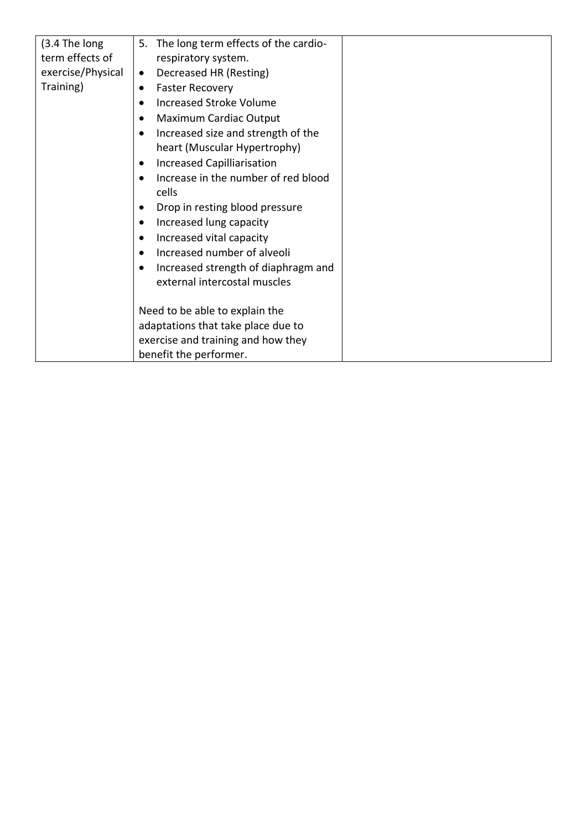| (3.4 The long     | The long term effects of the cardio-<br>5.       |
|-------------------|--------------------------------------------------|
| term effects of   | respiratory system.                              |
| exercise/Physical | Decreased HR (Resting)<br>$\bullet$              |
| Training)         | <b>Faster Recovery</b><br>$\bullet$              |
|                   | <b>Increased Stroke Volume</b><br>$\bullet$      |
|                   | Maximum Cardiac Output<br>$\bullet$              |
|                   | Increased size and strength of the<br>٠          |
|                   | heart (Muscular Hypertrophy)                     |
|                   | <b>Increased Capilliarisation</b><br>$\bullet$   |
|                   | Increase in the number of red blood<br>$\bullet$ |
|                   | cells                                            |
|                   | Drop in resting blood pressure<br>$\bullet$      |
|                   | Increased lung capacity<br>$\bullet$             |
|                   | Increased vital capacity<br>$\bullet$            |
|                   | Increased number of alveoli<br>$\bullet$         |
|                   | Increased strength of diaphragm and<br>٠         |
|                   | external intercostal muscles                     |
|                   |                                                  |
|                   | Need to be able to explain the                   |
|                   | adaptations that take place due to               |
|                   | exercise and training and how they               |
|                   | benefit the performer.                           |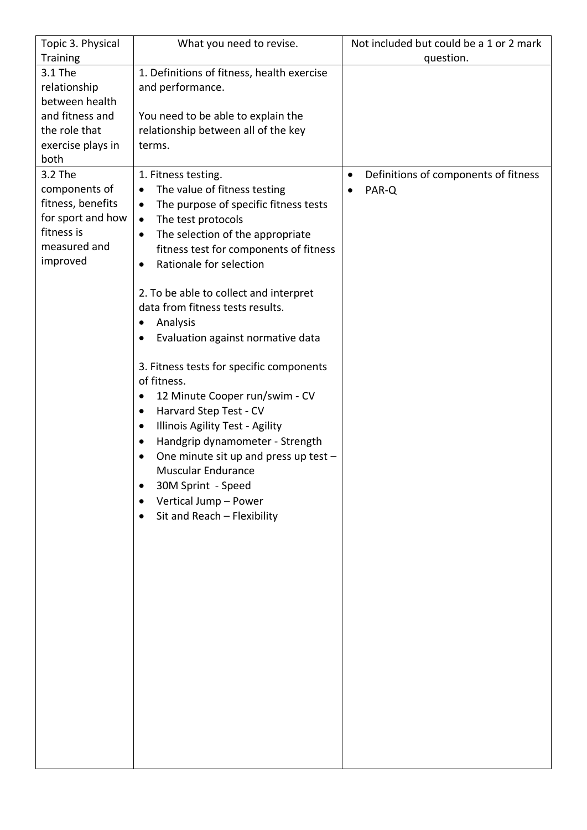| Topic 3. Physical | What you need to revise.                           | Not included but could be a 1 or 2 mark           |
|-------------------|----------------------------------------------------|---------------------------------------------------|
| Training          |                                                    | question.                                         |
| 3.1 The           | 1. Definitions of fitness, health exercise         |                                                   |
| relationship      | and performance.                                   |                                                   |
| between health    |                                                    |                                                   |
| and fitness and   | You need to be able to explain the                 |                                                   |
| the role that     | relationship between all of the key                |                                                   |
| exercise plays in | terms.                                             |                                                   |
| both              |                                                    |                                                   |
| 3.2 The           | 1. Fitness testing.                                | Definitions of components of fitness<br>$\bullet$ |
| components of     | The value of fitness testing<br>$\bullet$          | PAR-Q<br>$\bullet$                                |
| fitness, benefits | The purpose of specific fitness tests<br>$\bullet$ |                                                   |
| for sport and how | The test protocols<br>$\bullet$                    |                                                   |
| fitness is        | The selection of the appropriate<br>$\bullet$      |                                                   |
| measured and      | fitness test for components of fitness             |                                                   |
| improved          | Rationale for selection<br>$\bullet$               |                                                   |
|                   |                                                    |                                                   |
|                   | 2. To be able to collect and interpret             |                                                   |
|                   | data from fitness tests results.                   |                                                   |
|                   | Analysis<br>$\bullet$                              |                                                   |
|                   |                                                    |                                                   |
|                   | Evaluation against normative data                  |                                                   |
|                   | 3. Fitness tests for specific components           |                                                   |
|                   | of fitness.                                        |                                                   |
|                   | 12 Minute Cooper run/swim - CV<br>$\bullet$        |                                                   |
|                   | Harvard Step Test - CV<br>$\bullet$                |                                                   |
|                   | Illinois Agility Test - Agility<br>$\bullet$       |                                                   |
|                   | Handgrip dynamometer - Strength<br>٠               |                                                   |
|                   | One minute sit up and press up test -<br>٠         |                                                   |
|                   | <b>Muscular Endurance</b>                          |                                                   |
|                   | 30M Sprint - Speed                                 |                                                   |
|                   | Vertical Jump - Power                              |                                                   |
|                   | Sit and Reach - Flexibility<br>٠                   |                                                   |
|                   |                                                    |                                                   |
|                   |                                                    |                                                   |
|                   |                                                    |                                                   |
|                   |                                                    |                                                   |
|                   |                                                    |                                                   |
|                   |                                                    |                                                   |
|                   |                                                    |                                                   |
|                   |                                                    |                                                   |
|                   |                                                    |                                                   |
|                   |                                                    |                                                   |
|                   |                                                    |                                                   |
|                   |                                                    |                                                   |
|                   |                                                    |                                                   |
|                   |                                                    |                                                   |
|                   |                                                    |                                                   |
|                   |                                                    |                                                   |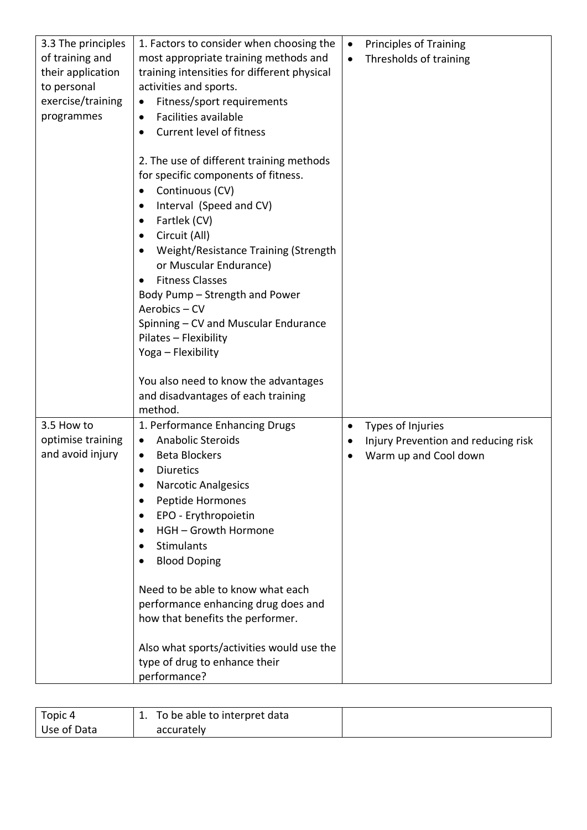| 3.3 The principles | 1. Factors to consider when choosing the                                                                                                                                                                                                                                                                                                                                                                                                     | <b>Principles of Training</b><br>$\bullet$ |
|--------------------|----------------------------------------------------------------------------------------------------------------------------------------------------------------------------------------------------------------------------------------------------------------------------------------------------------------------------------------------------------------------------------------------------------------------------------------------|--------------------------------------------|
| of training and    | most appropriate training methods and                                                                                                                                                                                                                                                                                                                                                                                                        | Thresholds of training                     |
| their application  | training intensities for different physical                                                                                                                                                                                                                                                                                                                                                                                                  |                                            |
| to personal        | activities and sports.                                                                                                                                                                                                                                                                                                                                                                                                                       |                                            |
| exercise/training  | Fitness/sport requirements<br>$\bullet$                                                                                                                                                                                                                                                                                                                                                                                                      |                                            |
| programmes         | Facilities available<br>$\bullet$                                                                                                                                                                                                                                                                                                                                                                                                            |                                            |
|                    | <b>Current level of fitness</b><br>$\bullet$                                                                                                                                                                                                                                                                                                                                                                                                 |                                            |
|                    | 2. The use of different training methods<br>for specific components of fitness.<br>Continuous (CV)<br>$\bullet$<br>Interval (Speed and CV)<br>$\bullet$<br>Fartlek (CV)<br>$\bullet$<br>Circuit (All)<br>٠<br>Weight/Resistance Training (Strength<br>٠<br>or Muscular Endurance)<br><b>Fitness Classes</b><br>$\bullet$<br>Body Pump - Strength and Power<br>Aerobics - CV<br>Spinning - CV and Muscular Endurance<br>Pilates - Flexibility |                                            |
|                    | Yoga - Flexibility                                                                                                                                                                                                                                                                                                                                                                                                                           |                                            |
|                    | You also need to know the advantages<br>and disadvantages of each training<br>method.                                                                                                                                                                                                                                                                                                                                                        |                                            |
| 3.5 How to         | 1. Performance Enhancing Drugs                                                                                                                                                                                                                                                                                                                                                                                                               | Types of Injuries<br>$\bullet$             |
| optimise training  | <b>Anabolic Steroids</b><br>$\bullet$                                                                                                                                                                                                                                                                                                                                                                                                        | Injury Prevention and reducing risk<br>٠   |
| and avoid injury   | <b>Beta Blockers</b><br>٠                                                                                                                                                                                                                                                                                                                                                                                                                    | Warm up and Cool down                      |
|                    | <b>Diuretics</b><br>$\bullet$                                                                                                                                                                                                                                                                                                                                                                                                                |                                            |
|                    | <b>Narcotic Analgesics</b><br>٠                                                                                                                                                                                                                                                                                                                                                                                                              |                                            |
|                    | Peptide Hormones<br>$\bullet$                                                                                                                                                                                                                                                                                                                                                                                                                |                                            |
|                    | EPO - Erythropoietin<br>$\bullet$                                                                                                                                                                                                                                                                                                                                                                                                            |                                            |
|                    | HGH - Growth Hormone<br>$\bullet$                                                                                                                                                                                                                                                                                                                                                                                                            |                                            |
|                    | <b>Stimulants</b><br>$\bullet$                                                                                                                                                                                                                                                                                                                                                                                                               |                                            |
|                    | <b>Blood Doping</b><br>$\bullet$                                                                                                                                                                                                                                                                                                                                                                                                             |                                            |
|                    | Need to be able to know what each<br>performance enhancing drug does and<br>how that benefits the performer.<br>Also what sports/activities would use the<br>type of drug to enhance their                                                                                                                                                                                                                                                   |                                            |
|                    | performance?                                                                                                                                                                                                                                                                                                                                                                                                                                 |                                            |

| Topic 4     | To be able to interpret data |  |
|-------------|------------------------------|--|
| Use of Data | accurately                   |  |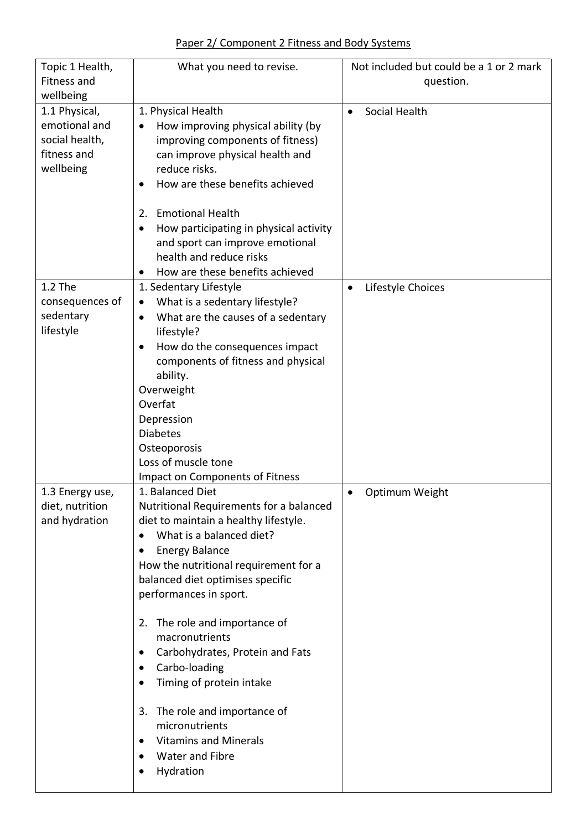| Topic 1 Health,<br>Fitness and<br>wellbeing                                  | What you need to revise.                                                                                                                                                                                                                                                                                                                                                                                                                                                                                                                                                 | Not included but could be a 1 or 2 mark<br>question. |
|------------------------------------------------------------------------------|--------------------------------------------------------------------------------------------------------------------------------------------------------------------------------------------------------------------------------------------------------------------------------------------------------------------------------------------------------------------------------------------------------------------------------------------------------------------------------------------------------------------------------------------------------------------------|------------------------------------------------------|
| 1.1 Physical,<br>emotional and<br>social health,<br>fitness and<br>wellbeing | 1. Physical Health<br>How improving physical ability (by<br>improving components of fitness)<br>can improve physical health and<br>reduce risks.<br>How are these benefits achieved<br>2. Emotional Health<br>How participating in physical activity<br>and sport can improve emotional<br>health and reduce risks<br>How are these benefits achieved<br>$\bullet$                                                                                                                                                                                                       | Social Health                                        |
| 1.2 The<br>consequences of<br>sedentary<br>lifestyle                         | 1. Sedentary Lifestyle<br>What is a sedentary lifestyle?<br>$\bullet$<br>What are the causes of a sedentary<br>$\bullet$<br>lifestyle?<br>How do the consequences impact<br>٠<br>components of fitness and physical<br>ability.<br>Overweight<br>Overfat<br>Depression<br><b>Diabetes</b><br>Osteoporosis<br>Loss of muscle tone<br>Impact on Components of Fitness                                                                                                                                                                                                      | Lifestyle Choices                                    |
| 1.3 Energy use,<br>diet, nutrition<br>and hydration                          | 1. Balanced Diet<br>Nutritional Requirements for a balanced<br>diet to maintain a healthy lifestyle.<br>What is a balanced diet?<br><b>Energy Balance</b><br>How the nutritional requirement for a<br>balanced diet optimises specific<br>performances in sport.<br>The role and importance of<br>2.<br>macronutrients<br>Carbohydrates, Protein and Fats<br>$\bullet$<br>Carbo-loading<br>٠<br>Timing of protein intake<br>The role and importance of<br>3.<br>micronutrients<br><b>Vitamins and Minerals</b><br>$\bullet$<br>Water and Fibre<br>$\bullet$<br>Hydration | Optimum Weight                                       |

## Paper 2/ Component 2 Fitness and Body Systems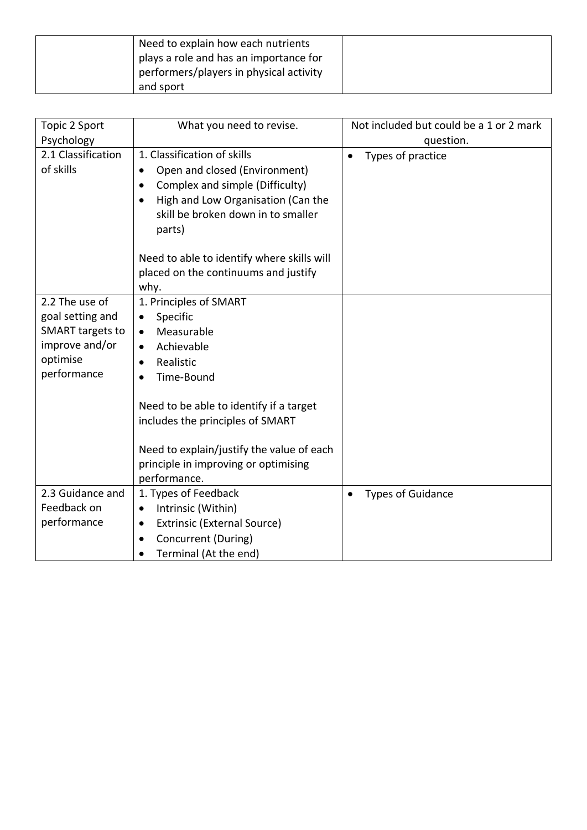| Need to explain how each nutrients      |  |
|-----------------------------------------|--|
| plays a role and has an importance for  |  |
| performers/players in physical activity |  |
| and sport                               |  |

| Topic 2 Sport                   | What you need to revise.                                                                                                                                                                                                                                                                                      | Not included but could be a 1 or 2 mark |
|---------------------------------|---------------------------------------------------------------------------------------------------------------------------------------------------------------------------------------------------------------------------------------------------------------------------------------------------------------|-----------------------------------------|
| Psychology                      |                                                                                                                                                                                                                                                                                                               | question.                               |
| 2.1 Classification<br>of skills | 1. Classification of skills<br>Open and closed (Environment)<br>Complex and simple (Difficulty)<br>$\bullet$<br>High and Low Organisation (Can the<br>$\bullet$<br>skill be broken down in to smaller<br>parts)<br>Need to able to identify where skills will<br>placed on the continuums and justify<br>why. | Types of practice<br>$\bullet$          |
| 2.2 The use of                  | 1. Principles of SMART                                                                                                                                                                                                                                                                                        |                                         |
| goal setting and                | Specific                                                                                                                                                                                                                                                                                                      |                                         |
| <b>SMART</b> targets to         | Measurable<br>$\bullet$                                                                                                                                                                                                                                                                                       |                                         |
| improve and/or                  | Achievable<br>$\bullet$                                                                                                                                                                                                                                                                                       |                                         |
| optimise                        | Realistic                                                                                                                                                                                                                                                                                                     |                                         |
| performance                     | Time-Bound                                                                                                                                                                                                                                                                                                    |                                         |
|                                 | Need to be able to identify if a target<br>includes the principles of SMART                                                                                                                                                                                                                                   |                                         |
|                                 | Need to explain/justify the value of each                                                                                                                                                                                                                                                                     |                                         |
|                                 | principle in improving or optimising                                                                                                                                                                                                                                                                          |                                         |
|                                 | performance.                                                                                                                                                                                                                                                                                                  |                                         |
| 2.3 Guidance and                | 1. Types of Feedback                                                                                                                                                                                                                                                                                          | <b>Types of Guidance</b><br>$\bullet$   |
| Feedback on                     | Intrinsic (Within)                                                                                                                                                                                                                                                                                            |                                         |
| performance                     | Extrinsic (External Source)<br>$\bullet$                                                                                                                                                                                                                                                                      |                                         |
|                                 | Concurrent (During)                                                                                                                                                                                                                                                                                           |                                         |
|                                 | Terminal (At the end)<br>$\bullet$                                                                                                                                                                                                                                                                            |                                         |